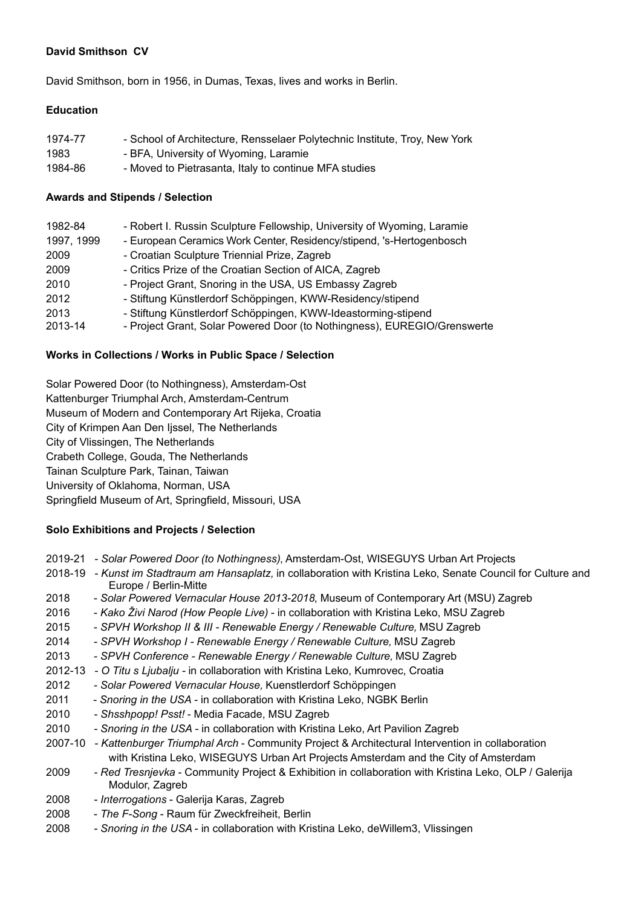## **David Smithson CV**

David Smithson, born in 1956, in Dumas, Texas, lives and works in Berlin.

## **Education**

| 1974-77 | - School of Architecture, Rensselaer Polytechnic Institute, Troy, New York |
|---------|----------------------------------------------------------------------------|
| 1983    | - BFA, University of Wyoming, Laramie                                      |
| 1984-86 | - Moved to Pietrasanta, Italy to continue MFA studies                      |

## **Awards and Stipends / Selection**

| 1982-84         | - Robert I. Russin Sculpture Fellowship, University of Wyoming, Laramie                                                                   |
|-----------------|-------------------------------------------------------------------------------------------------------------------------------------------|
| 1997, 1999      | - European Ceramics Work Center, Residency/stipend, 's-Hertogenbosch                                                                      |
| 2009            | - Croatian Sculpture Triennial Prize, Zagreb                                                                                              |
| 2009            | - Critics Prize of the Croatian Section of AICA, Zagreb                                                                                   |
| 2010            | - Project Grant, Snoring in the USA, US Embassy Zagreb                                                                                    |
| 2012            | - Stiftung Künstlerdorf Schöppingen, KWW-Residency/stipend                                                                                |
| 2013<br>2013-14 | - Stiftung Künstlerdorf Schöppingen, KWW-Ideastorming-stipend<br>- Project Grant, Solar Powered Door (to Nothingness), EUREGIO/Grenswerte |

## **Works in Collections / Works in Public Space / Selection**

Solar Powered Door (to Nothingness), Amsterdam-Ost Kattenburger Triumphal Arch, Amsterdam-Centrum Museum of Modern and Contemporary Art Rijeka, Croatia City of Krimpen Aan Den Ijssel, The Netherlands City of Vlissingen, The Netherlands Crabeth College, Gouda, The Netherlands Tainan Sculpture Park, Tainan, Taiwan University of Oklahoma, Norman, USA Springfield Museum of Art, Springfield, Missouri, USA

# **Solo Exhibitions and Projects / Selection**

| 2019-21 - Solar Powered Door (to Nothingness), Amsterdam-Ost, WISEGUYS Urban Art Projects |  |  |
|-------------------------------------------------------------------------------------------|--|--|
|                                                                                           |  |  |

- 2018-19 *Kunst im Stadtraum am Hansaplatz,* in collaboration with Kristina Leko, Senate Council for Culture and Europe / Berlin-Mitte
- 2018 *Solar Powered Vernacular House 2013-2018*, Museum of Contemporary Art (MSU) Zagreb
- 2016 *Kako Živi Narod (How People Live)* in collaboration with Kristina Leko, MSU Zagreb
- 2015 *SPVH Workshop II & III Renewable Energy / Renewable Culture,* MSU Zagreb
- 2014  *SPVH Workshop I Renewable Energy / Renewable Culture,* MSU Zagreb
- 2013  *SPVH Conference Renewable Energy / Renewable Culture,* MSU Zagreb
- 2012-13 *O Titu s Ljubalju* in collaboration with Kristina Leko, Kumrovec, Croatia
- 2012  *Solar Powered Vernacular House,* Kuenstlerdorf Schöppingen
- 2011 *Snoring in the USA* in collaboration with Kristina Leko, NGBK Berlin
- 2010 *Shsshpopp! Psst!*  Media Facade, MSU Zagreb
- 2010 *Snoring in the USA* in collaboration with Kristina Leko, Art Pavilion Zagreb
- 2007-10 *Kattenburger Triumphal Arch* Community Project & Architectural Intervention in collaboration with Kristina Leko, WISEGUYS Urban Art Projects Amsterdam and the City of Amsterdam
- 2009 *Red Tresnjevka* Community Project & Exhibition in collaboration with Kristina Leko, OLP / Galerija Modulor, Zagreb
- 2008 *Interrogations* Galerija Karas, Zagreb
- 2008 *The F-Song* Raum für Zweckfreiheit, Berlin
- 2008 *Snoring in the USA*  in collaboration with Kristina Leko, deWillem3, Vlissingen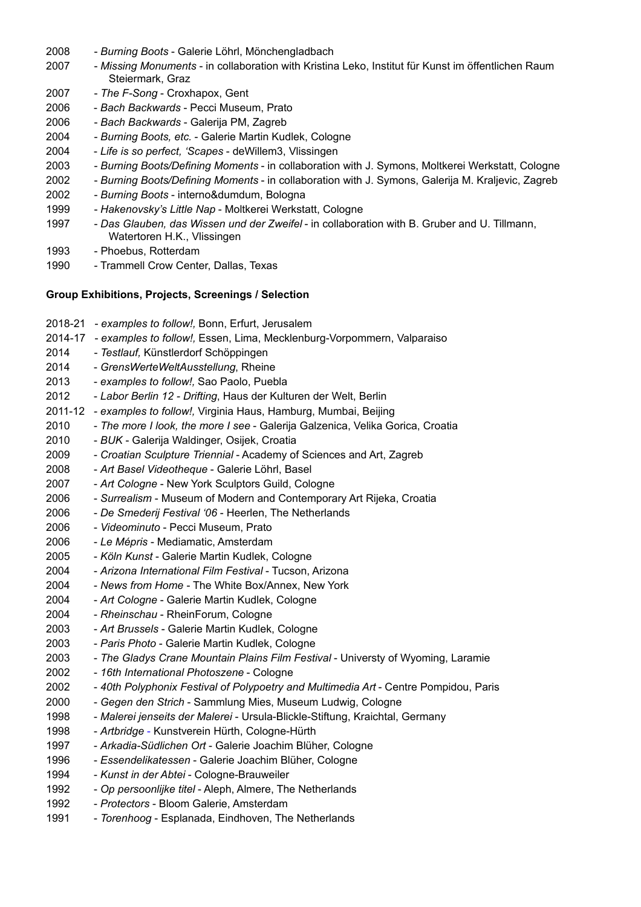- 2008 *Burning Boots* Galerie Löhrl, Mönchengladbach
- 2007 *Missing Monuments* in collaboration with Kristina Leko, Institut für Kunst im öffentlichen Raum Steiermark, Graz
- 2007 *The F-Song* Croxhapox, Gent
- 2006 *Bach Backwards* Pecci Museum, Prato
- 2006 *Bach Backwards* Galerija PM, Zagreb
- 2004 *Burning Boots, etc.* Galerie Martin Kudlek, Cologne
- 2004 *Life is so perfect, 'Scapes* deWillem3, Vlissingen
- 2003 *Burning Boots/Defining Moments* in collaboration with J. Symons, Moltkerei Werkstatt, Cologne
- 2002 *Burning Boots/Defining Moments* in collaboration with J. Symons, Galerija M. Kraljevic, Zagreb
- 2002 *Burning Boots* interno&dumdum, Bologna
- 1999 *Hakenovsky's Little Nap* Moltkerei Werkstatt, Cologne
- 1997 *Das Glauben, das Wissen und der Zweifel* in collaboration with B. Gruber and U. Tillmann, Watertoren H.K., Vlissingen
- 1993 Phoebus, Rotterdam
- 1990 Trammell Crow Center, Dallas, Texas

#### **Group Exhibitions, Projects, Screenings / Selection**

| 2018-21 | - examples to follow!, Bonn, Erfurt, Jerusalem                                       |
|---------|--------------------------------------------------------------------------------------|
| 2014-17 | - examples to follow!, Essen, Lima, Mecklenburg-Vorpommern, Valparaiso               |
| 2014    | - Testlauf, Künstlerdorf Schöppingen                                                 |
| 2014    | - GrensWerteWeltAusstellung, Rheine                                                  |
| 2013    | - examples to follow!, Sao Paolo, Puebla                                             |
| 2012    | - Labor Berlin 12 - Drifting, Haus der Kulturen der Welt, Berlin                     |
| 2011-12 | - examples to follow!, Virginia Haus, Hamburg, Mumbai, Beijing                       |
| 2010    | - The more I look, the more I see - Galerija Galzenica, Velika Gorica, Croatia       |
| 2010    | - BUK - Galerija Waldinger, Osijek, Croatia                                          |
| 2009    | - Croatian Sculpture Triennial - Academy of Sciences and Art, Zagreb                 |
| 2008    | - Art Basel Videotheque - Galerie Löhrl, Basel                                       |
| 2007    | - Art Cologne - New York Sculptors Guild, Cologne                                    |
| 2006    | - Surrealism - Museum of Modern and Contemporary Art Rijeka, Croatia                 |
| 2006    | - De Smederij Festival '06 - Heerlen, The Netherlands                                |
| 2006    | - Videominuto - Pecci Museum, Prato                                                  |
| 2006    | - Le Mépris - Mediamatic, Amsterdam                                                  |
| 2005    | - Köln Kunst - Galerie Martin Kudlek, Cologne                                        |
| 2004    | - Arizona International Film Festival - Tucson, Arizona                              |
| 2004    | - News from Home - The White Box/Annex, New York                                     |
| 2004    | - Art Cologne - Galerie Martin Kudlek, Cologne                                       |
| 2004    | - Rheinschau - RheinForum, Cologne                                                   |
| 2003    | - Art Brussels - Galerie Martin Kudlek, Cologne                                      |
| 2003    | - Paris Photo - Galerie Martin Kudlek, Cologne                                       |
| 2003    | - The Gladys Crane Mountain Plains Film Festival - Universty of Wyoming, Laramie     |
| 2002    | - 16th International Photoszene - Cologne                                            |
| 2002    | - 40th Polyphonix Festival of Polypoetry and Multimedia Art - Centre Pompidou, Paris |
| 2000    | - Gegen den Strich - Sammlung Mies, Museum Ludwig, Cologne                           |
| 1998    | - Malerei jenseits der Malerei - Ursula-Blickle-Stiftung, Kraichtal, Germany         |
| 1998    | - Artbridge - Kunstverein Hürth, Cologne-Hürth                                       |
| 1997    | - Arkadia-Südlichen Ort - Galerie Joachim Blüher, Cologne                            |
| 1996    | - Essendelikatessen - Galerie Joachim Blüher, Cologne                                |
| 1994    | - Kunst in der Abtei - Cologne-Brauweiler                                            |
| 1992    | - Op persoonlijke titel - Aleph, Almere, The Netherlands                             |
| 1992    | - Protectors - Bloom Galerie, Amsterdam                                              |
| 1991    | - Torenhoog - Esplanada, Eindhoven, The Netherlands                                  |
|         |                                                                                      |
|         |                                                                                      |